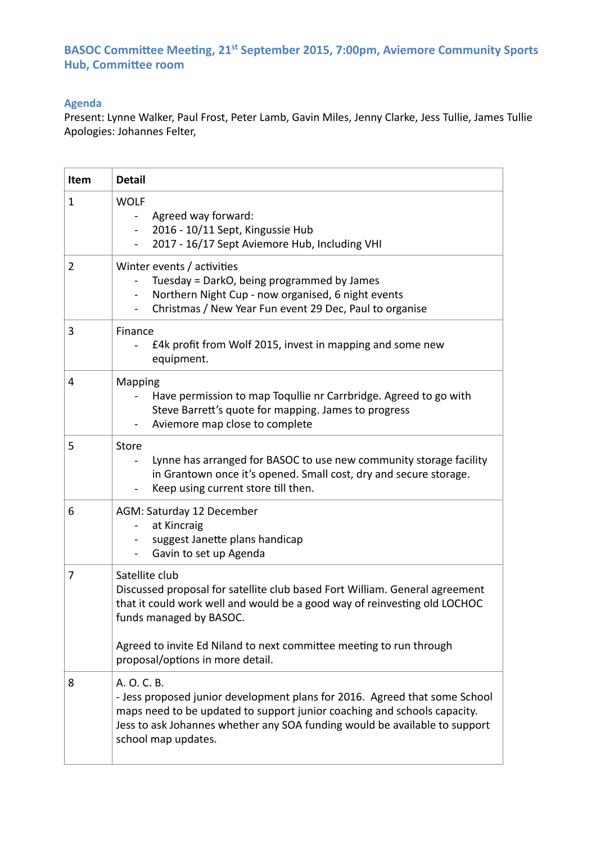# **BASOC Committee Meeting, 21st September 2015, 7:00pm, Aviemore Community Sports Hub, Committee room**

## **Agenda**

Present: Lynne Walker, Paul Frost, Peter Lamb, Gavin Miles, Jenny Clarke, Jess Tullie, James Tullie Apologies: Johannes Felter,

| Item           | <b>Detail</b>                                                                                                                                                                                                                                                                                                    |
|----------------|------------------------------------------------------------------------------------------------------------------------------------------------------------------------------------------------------------------------------------------------------------------------------------------------------------------|
| $\mathbf{1}$   | <b>WOLF</b><br>Agreed way forward:<br>$\blacksquare$<br>2016 - 10/11 Sept, Kingussie Hub<br>$\blacksquare$<br>2017 - 16/17 Sept Aviemore Hub, Including VHI                                                                                                                                                      |
| $\overline{2}$ | Winter events / activities<br>Tuesday = DarkO, being programmed by James<br>Northern Night Cup - now organised, 6 night events<br>$\blacksquare$<br>Christmas / New Year Fun event 29 Dec, Paul to organise                                                                                                      |
| 3              | Finance<br>£4k profit from Wolf 2015, invest in mapping and some new<br>equipment.                                                                                                                                                                                                                               |
| 4              | <b>Mapping</b><br>Have permission to map Toqullie nr Carrbridge. Agreed to go with<br>Steve Barrett's quote for mapping. James to progress<br>Aviemore map close to complete                                                                                                                                     |
| 5              | <b>Store</b><br>Lynne has arranged for BASOC to use new community storage facility<br>in Grantown once it's opened. Small cost, dry and secure storage.<br>Keep using current store till then.                                                                                                                   |
| 6              | AGM: Saturday 12 December<br>at Kincraig<br>$\equiv$<br>suggest Janette plans handicap<br>Gavin to set up Agenda<br>$\blacksquare$                                                                                                                                                                               |
| 7              | Satellite club<br>Discussed proposal for satellite club based Fort William. General agreement<br>that it could work well and would be a good way of reinvesting old LOCHOC<br>funds managed by BASOC.<br>Agreed to invite Ed Niland to next committee meeting to run through<br>proposal/options in more detail. |
| 8              | A. O. C. B.<br>- Jess proposed junior development plans for 2016. Agreed that some School<br>maps need to be updated to support junior coaching and schools capacity.<br>Jess to ask Johannes whether any SOA funding would be available to support<br>school map updates.                                       |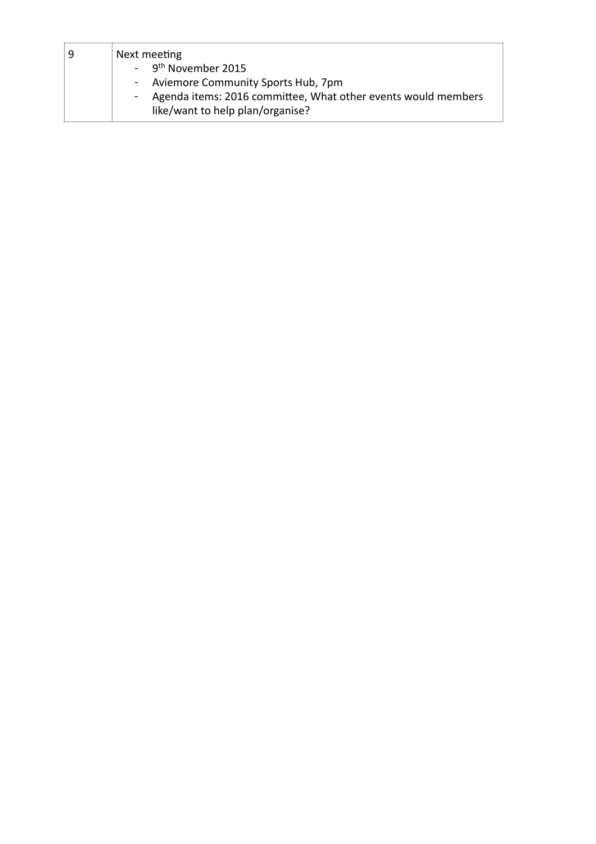| 9 | Next meeting                                                                |
|---|-----------------------------------------------------------------------------|
|   | - 9 <sup>th</sup> November 2015                                             |
|   | - Aviemore Community Sports Hub, 7pm                                        |
|   | Agenda items: 2016 committee, What other events would members<br>$\sim 100$ |
|   | like/want to help plan/organise?                                            |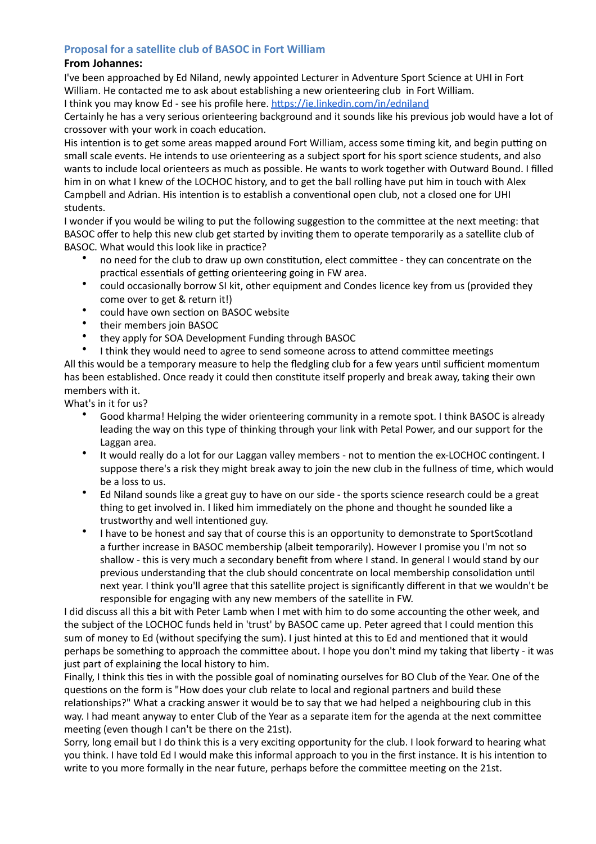### **Proposal for a satellite club of BASOC in Fort William**

#### **From Johannes:**

I've been approached by Ed Niland, newly appointed Lecturer in Adventure Sport Science at UHI in Fort William. He contacted me to ask about establishing a new orienteering club in Fort William.

I think you may know Ed - see his profile here. https://ie.linkedin.com/in/edniland

Certainly he has a very serious orienteering background and it sounds like his previous job would have a lot of crossover with your work in coach education.

His intention is to get some areas mapped around Fort William, access some timing kit, and begin putting on small scale events. He intends to use orienteering as a subject sport for his sport science students, and also wants to include local orienteers as much as possible. He wants to work together with Outward Bound. I filled him in on what I knew of the LOCHOC history, and to get the ball rolling have put him in touch with Alex Campbell and Adrian. His intention is to establish a conventional open club, not a closed one for UHI students. 

I wonder if you would be wiling to put the following suggestion to the committee at the next meeting: that BASOC offer to help this new club get started by inviting them to operate temporarily as a satellite club of BASOC. What would this look like in practice?

- no need for the club to draw up own constitution, elect committee they can concentrate on the practical essentials of getting orienteering going in FW area.
- could occasionally borrow SI kit, other equipment and Condes licence key from us (provided they come over to get & return it!)
- could have own section on BASOC website<br>• their mombors join BASOC
- their members join BASOC<br>• they apply for SOA Dovelop
- they apply for SOA Development Funding through BASOC
- I think they would need to agree to send someone across to attend committee meetings

All this would be a temporary measure to help the fledgling club for a few years until sufficient momentum has been established. Once ready it could then constitute itself properly and break away, taking their own members with it.

What's in it for us?

- Good kharma! Helping the wider orienteering community in a remote spot. I think BASOC is already leading the way on this type of thinking through your link with Petal Power, and our support for the Laggan area.
- It would really do a lot for our Laggan valley members not to mention the ex-LOCHOC contingent. I suppose there's a risk they might break away to join the new club in the fullness of time, which would be a loss to us.
- Ed Niland sounds like a great guy to have on our side the sports science research could be a great thing to get involved in. I liked him immediately on the phone and thought he sounded like a trustworthy and well intentioned guy.
- I have to be honest and say that of course this is an opportunity to demonstrate to SportScotland a further increase in BASOC membership (albeit temporarily). However I promise you I'm not so shallow - this is very much a secondary benefit from where I stand. In general I would stand by our previous understanding that the club should concentrate on local membership consolidation until next year. I think you'll agree that this satellite project is significantly different in that we wouldn't be responsible for engaging with any new members of the satellite in FW.

I did discuss all this a bit with Peter Lamb when I met with him to do some accounting the other week, and the subject of the LOCHOC funds held in 'trust' by BASOC came up. Peter agreed that I could mention this sum of money to Ed (without specifying the sum). I just hinted at this to Ed and mentioned that it would perhaps be something to approach the committee about. I hope you don't mind my taking that liberty - it was just part of explaining the local history to him.

Finally, I think this ties in with the possible goal of nominating ourselves for BO Club of the Year. One of the questions on the form is "How does your club relate to local and regional partners and build these relationships?" What a cracking answer it would be to say that we had helped a neighbouring club in this way. I had meant anyway to enter Club of the Year as a separate item for the agenda at the next committee meeting (even though I can't be there on the 21st).

Sorry, long email but I do think this is a very exciting opportunity for the club. I look forward to hearing what you think. I have told Ed I would make this informal approach to you in the first instance. It is his intention to write to you more formally in the near future, perhaps before the committee meeting on the 21st.